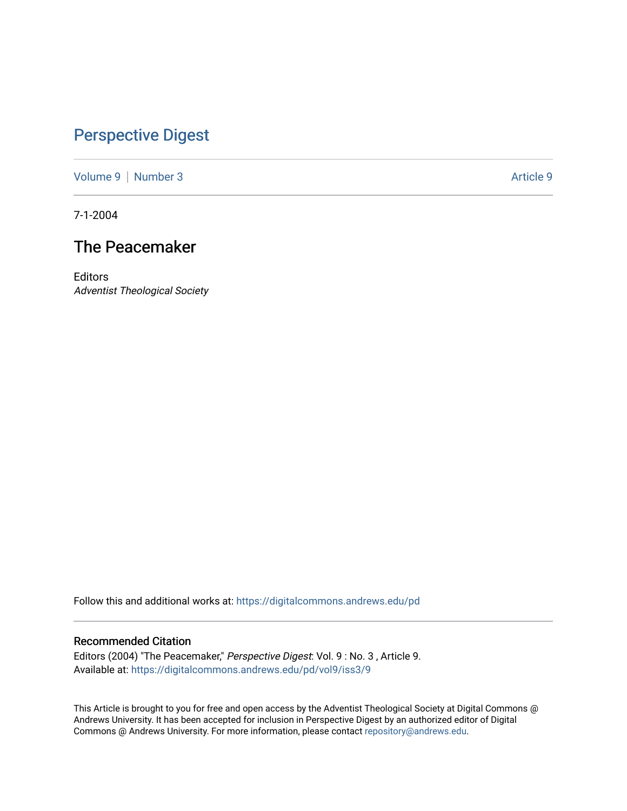## [Perspective Digest](https://digitalcommons.andrews.edu/pd)

[Volume 9](https://digitalcommons.andrews.edu/pd/vol9) | [Number 3](https://digitalcommons.andrews.edu/pd/vol9/iss3) Article 9

7-1-2004

## The Peacemaker

**Editors** Adventist Theological Society

Follow this and additional works at: [https://digitalcommons.andrews.edu/pd](https://digitalcommons.andrews.edu/pd?utm_source=digitalcommons.andrews.edu%2Fpd%2Fvol9%2Fiss3%2F9&utm_medium=PDF&utm_campaign=PDFCoverPages)

## Recommended Citation

Editors (2004) "The Peacemaker," Perspective Digest: Vol. 9 : No. 3 , Article 9. Available at: [https://digitalcommons.andrews.edu/pd/vol9/iss3/9](https://digitalcommons.andrews.edu/pd/vol9/iss3/9?utm_source=digitalcommons.andrews.edu%2Fpd%2Fvol9%2Fiss3%2F9&utm_medium=PDF&utm_campaign=PDFCoverPages)

This Article is brought to you for free and open access by the Adventist Theological Society at Digital Commons @ Andrews University. It has been accepted for inclusion in Perspective Digest by an authorized editor of Digital Commons @ Andrews University. For more information, please contact [repository@andrews.edu.](mailto:repository@andrews.edu)